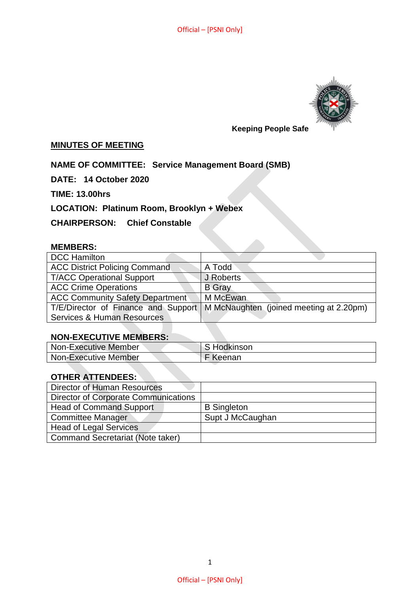

## **MINUTES OF MEETING**

## **NAME OF COMMITTEE: Service Management Board (SMB)**

**DATE: 14 October 2020**

**TIME: 13.00hrs**

# **LOCATION: Platinum Room, Brooklyn + Webex**

## **CHAIRPERSON: Chief Constable**

#### **MEMBERS:**

| <b>DCC Hamilton</b>                    |                                         |
|----------------------------------------|-----------------------------------------|
| <b>ACC District Policing Command</b>   | A Todd                                  |
| <b>T/ACC Operational Support</b>       | J Roberts                               |
| <b>ACC Crime Operations</b>            | <b>B</b> Gray                           |
| <b>ACC Community Safety Department</b> | M McEwan                                |
| T/E/Director of Finance and Support    | M McNaughten (joined meeting at 2.20pm) |
| <b>Services &amp; Human Resources</b>  |                                         |

## **NON-EXECUTIVE MEMBERS:**

| Non-Executive Member | S Hodkinson |
|----------------------|-------------|
| Non-Executive Member | F Keenan    |

# **OTHER ATTENDEES:**

| <b>Director of Human Resources</b>          |                    |
|---------------------------------------------|--------------------|
| <b>Director of Corporate Communications</b> |                    |
| <b>Head of Command Support</b>              | <b>B</b> Singleton |
| <b>Committee Manager</b>                    | Supt J McCaughan   |
| Head of Legal Services                      |                    |
| <b>Command Secretariat (Note taker)</b>     |                    |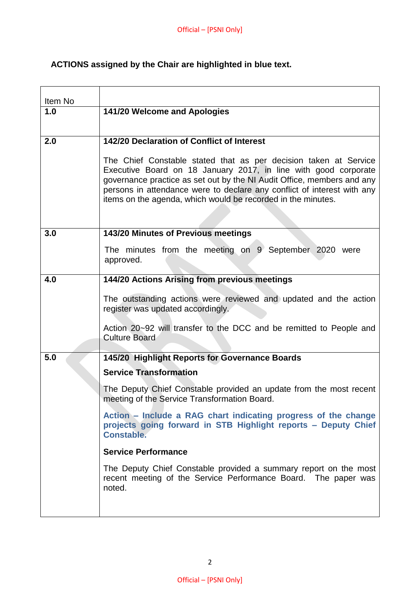# **ACTIONS assigned by the Chair are highlighted in blue text.**

| Item No |                                                                                                                                                                                                                                                                                                                                                          |
|---------|----------------------------------------------------------------------------------------------------------------------------------------------------------------------------------------------------------------------------------------------------------------------------------------------------------------------------------------------------------|
| 1.0     | 141/20 Welcome and Apologies                                                                                                                                                                                                                                                                                                                             |
|         |                                                                                                                                                                                                                                                                                                                                                          |
| 2.0     | 142/20 Declaration of Conflict of Interest                                                                                                                                                                                                                                                                                                               |
|         | The Chief Constable stated that as per decision taken at Service<br>Executive Board on 18 January 2017, in line with good corporate<br>governance practice as set out by the NI Audit Office, members and any<br>persons in attendance were to declare any conflict of interest with any<br>items on the agenda, which would be recorded in the minutes. |
|         |                                                                                                                                                                                                                                                                                                                                                          |
| 3.0     | 143/20 Minutes of Previous meetings                                                                                                                                                                                                                                                                                                                      |
|         | The minutes from the meeting on 9 September 2020 were<br>approved.                                                                                                                                                                                                                                                                                       |
| 4.0     | 144/20 Actions Arising from previous meetings                                                                                                                                                                                                                                                                                                            |
|         | The outstanding actions were reviewed and updated and the action<br>register was updated accordingly.                                                                                                                                                                                                                                                    |
|         | Action 20~92 will transfer to the DCC and be remitted to People and<br><b>Culture Board</b>                                                                                                                                                                                                                                                              |
| 5.0     | 145/20 Highlight Reports for Governance Boards                                                                                                                                                                                                                                                                                                           |
|         | <b>Service Transformation</b>                                                                                                                                                                                                                                                                                                                            |
|         | The Deputy Chief Constable provided an update from the most recent<br>meeting of the Service Transformation Board.                                                                                                                                                                                                                                       |
|         | Action – Include a RAG chart indicating progress of the change<br>projects going forward in STB Highlight reports - Deputy Chief<br><b>Constable.</b>                                                                                                                                                                                                    |
|         | <b>Service Performance</b>                                                                                                                                                                                                                                                                                                                               |
|         | The Deputy Chief Constable provided a summary report on the most<br>recent meeting of the Service Performance Board. The paper was<br>noted.                                                                                                                                                                                                             |
|         |                                                                                                                                                                                                                                                                                                                                                          |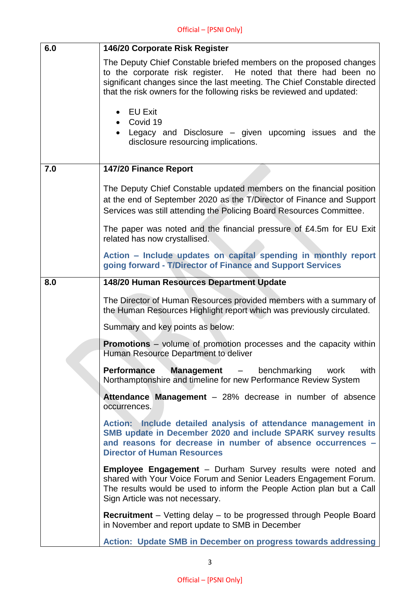| 6.0 | 146/20 Corporate Risk Register                                                                                                                                                                                                                                                             |
|-----|--------------------------------------------------------------------------------------------------------------------------------------------------------------------------------------------------------------------------------------------------------------------------------------------|
|     | The Deputy Chief Constable briefed members on the proposed changes<br>to the corporate risk register. He noted that there had been no<br>significant changes since the last meeting. The Chief Constable directed<br>that the risk owners for the following risks be reviewed and updated: |
|     | $\bullet$ EU Exit<br>Covid 19<br>Legacy and Disclosure – given upcoming issues and the<br>disclosure resourcing implications.                                                                                                                                                              |
| 7.0 | 147/20 Finance Report                                                                                                                                                                                                                                                                      |
|     | The Deputy Chief Constable updated members on the financial position<br>at the end of September 2020 as the T/Director of Finance and Support<br>Services was still attending the Policing Board Resources Committee.                                                                      |
|     | The paper was noted and the financial pressure of £4.5m for EU Exit<br>related has now crystallised.                                                                                                                                                                                       |
|     | Action - Include updates on capital spending in monthly report<br>going forward - T/Director of Finance and Support Services                                                                                                                                                               |
| 8.0 | 148/20 Human Resources Department Update                                                                                                                                                                                                                                                   |
|     | The Director of Human Resources provided members with a summary of<br>the Human Resources Highlight report which was previously circulated.                                                                                                                                                |
|     | Summary and key points as below:                                                                                                                                                                                                                                                           |
|     | <b>Promotions</b> – volume of promotion processes and the capacity within<br>Human Resource Department to deliver                                                                                                                                                                          |
|     | <b>Performance Management</b> - benchmarking<br>with<br>work<br>Northamptonshire and timeline for new Performance Review System                                                                                                                                                            |
|     | Attendance Management - 28% decrease in number of absence<br>occurrences.                                                                                                                                                                                                                  |
|     | Action: Include detailed analysis of attendance management in<br>SMB update in December 2020 and include SPARK survey results<br>and reasons for decrease in number of absence occurrences -<br><b>Director of Human Resources</b>                                                         |
|     | <b>Employee Engagement</b> – Durham Survey results were noted and<br>shared with Your Voice Forum and Senior Leaders Engagement Forum.<br>The results would be used to inform the People Action plan but a Call<br>Sign Article was not necessary.                                         |
|     | <b>Recruitment</b> – Vetting delay – to be progressed through People Board<br>in November and report update to SMB in December                                                                                                                                                             |
|     | <b>Action: Update SMB in December on progress towards addressing</b>                                                                                                                                                                                                                       |

3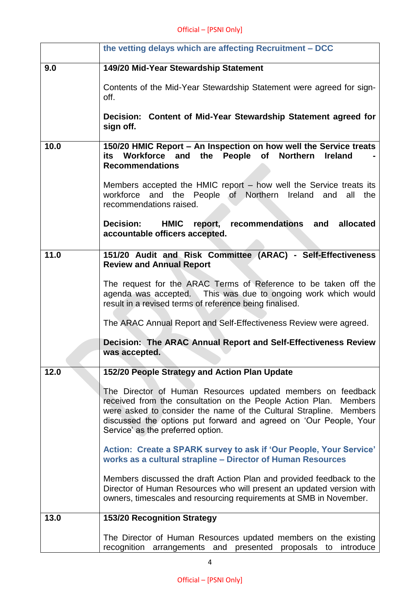|      | the vetting delays which are affecting Recruitment - DCC                                                                                                                                                                                                                                                                             |
|------|--------------------------------------------------------------------------------------------------------------------------------------------------------------------------------------------------------------------------------------------------------------------------------------------------------------------------------------|
| 9.0  | 149/20 Mid-Year Stewardship Statement                                                                                                                                                                                                                                                                                                |
|      | Contents of the Mid-Year Stewardship Statement were agreed for sign-<br>off.                                                                                                                                                                                                                                                         |
|      | Decision: Content of Mid-Year Stewardship Statement agreed for<br>sign off.                                                                                                                                                                                                                                                          |
| 10.0 | 150/20 HMIC Report - An Inspection on how well the Service treats<br>its Workforce and<br>the People<br>of Northern<br><b>Ireland</b><br><b>Recommendations</b>                                                                                                                                                                      |
|      | Members accepted the HMIC report - how well the Service treats its<br>workforce and the People of Northern<br>Ireland<br>and<br>all<br>the<br>recommendations raised.                                                                                                                                                                |
|      | <b>Decision:</b><br>HMIC report, recommendations<br>allocated<br>and<br>accountable officers accepted.                                                                                                                                                                                                                               |
| 11.0 | 151/20 Audit and Risk Committee (ARAC) - Self-Effectiveness<br><b>Review and Annual Report</b>                                                                                                                                                                                                                                       |
|      | The request for the ARAC Terms of Reference to be taken off the<br>agenda was accepted. This was due to ongoing work which would<br>result in a revised terms of reference being finalised.                                                                                                                                          |
|      | The ARAC Annual Report and Self-Effectiveness Review were agreed.                                                                                                                                                                                                                                                                    |
|      | Decision: The ARAC Annual Report and Self-Effectiveness Review<br>was accepted.                                                                                                                                                                                                                                                      |
| 12.0 | 152/20 People Strategy and Action Plan Update                                                                                                                                                                                                                                                                                        |
|      | The Director of Human Resources updated members on feedback<br>received from the consultation on the People Action Plan.<br><b>Members</b><br>were asked to consider the name of the Cultural Strapline.<br><b>Members</b><br>discussed the options put forward and agreed on 'Our People, Your<br>Service' as the preferred option. |
|      | Action: Create a SPARK survey to ask if 'Our People, Your Service'<br>works as a cultural strapline - Director of Human Resources                                                                                                                                                                                                    |
|      | Members discussed the draft Action Plan and provided feedback to the<br>Director of Human Resources who will present an updated version with<br>owners, timescales and resourcing requirements at SMB in November.                                                                                                                   |
| 13.0 | <b>153/20 Recognition Strategy</b>                                                                                                                                                                                                                                                                                                   |
|      | The Director of Human Resources updated members on the existing<br>recognition arrangements<br>and<br>presented proposals to<br>introduce                                                                                                                                                                                            |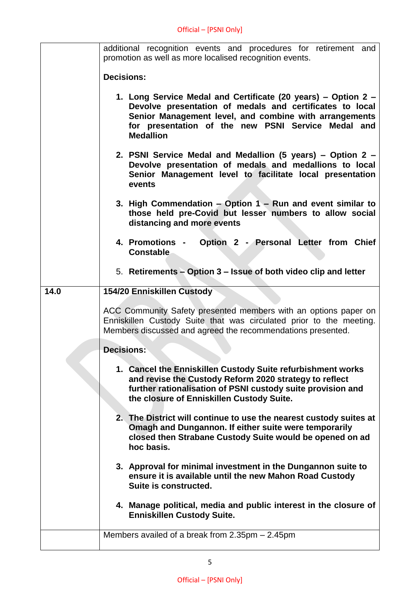|      | additional recognition events and procedures for retirement and<br>promotion as well as more localised recognition events.                                                                                                                                    |
|------|---------------------------------------------------------------------------------------------------------------------------------------------------------------------------------------------------------------------------------------------------------------|
|      | <b>Decisions:</b>                                                                                                                                                                                                                                             |
|      | 1. Long Service Medal and Certificate (20 years) – Option 2 –<br>Devolve presentation of medals and certificates to local<br>Senior Management level, and combine with arrangements<br>for presentation of the new PSNI Service Medal and<br><b>Medallion</b> |
|      | 2. PSNI Service Medal and Medallion (5 years) – Option 2 –<br>Devolve presentation of medals and medallions to local<br>Senior Management level to facilitate local presentation<br>events                                                                    |
|      | 3. High Commendation - Option 1 - Run and event similar to<br>those held pre-Covid but lesser numbers to allow social<br>distancing and more events                                                                                                           |
|      | 4. Promotions - Option 2 - Personal Letter from Chief<br><b>Constable</b>                                                                                                                                                                                     |
|      | 5. Retirements - Option 3 - Issue of both video clip and letter                                                                                                                                                                                               |
| 14.0 | 154/20 Enniskillen Custody                                                                                                                                                                                                                                    |
|      | ACC Community Safety presented members with an options paper on<br>Enniskillen Custody Suite that was circulated prior to the meeting.<br>Members discussed and agreed the recommendations presented.                                                         |
|      | <b>Decisions:</b>                                                                                                                                                                                                                                             |
|      | 1. Cancel the Enniskillen Custody Suite refurbishment works<br>and revise the Custody Reform 2020 strategy to reflect<br>further rationalisation of PSNI custody suite provision and<br>the closure of Enniskillen Custody Suite.                             |
|      | 2. The District will continue to use the nearest custody suites at<br>Omagh and Dungannon. If either suite were temporarily<br>closed then Strabane Custody Suite would be opened on ad<br>hoc basis.                                                         |
|      | 3. Approval for minimal investment in the Dungannon suite to<br>ensure it is available until the new Mahon Road Custody<br>Suite is constructed.                                                                                                              |
|      | 4. Manage political, media and public interest in the closure of<br><b>Enniskillen Custody Suite.</b>                                                                                                                                                         |
|      | Members availed of a break from 2.35pm - 2.45pm                                                                                                                                                                                                               |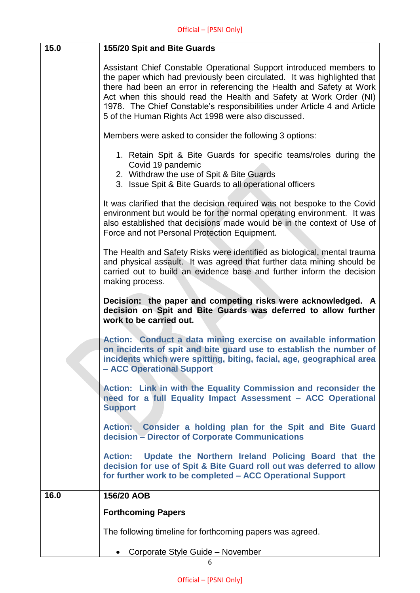| 15.0 | 155/20 Spit and Bite Guards                                                                                                                                                                                                                                                                                                                                                                                                     |
|------|---------------------------------------------------------------------------------------------------------------------------------------------------------------------------------------------------------------------------------------------------------------------------------------------------------------------------------------------------------------------------------------------------------------------------------|
|      | Assistant Chief Constable Operational Support introduced members to<br>the paper which had previously been circulated. It was highlighted that<br>there had been an error in referencing the Health and Safety at Work<br>Act when this should read the Health and Safety at Work Order (NI)<br>1978. The Chief Constable's responsibilities under Article 4 and Article<br>5 of the Human Rights Act 1998 were also discussed. |
|      | Members were asked to consider the following 3 options:                                                                                                                                                                                                                                                                                                                                                                         |
|      | 1. Retain Spit & Bite Guards for specific teams/roles during the<br>Covid 19 pandemic<br>2. Withdraw the use of Spit & Bite Guards<br>3. Issue Spit & Bite Guards to all operational officers                                                                                                                                                                                                                                   |
|      | It was clarified that the decision required was not bespoke to the Covid<br>environment but would be for the normal operating environment. It was<br>also established that decisions made would be in the context of Use of<br>Force and not Personal Protection Equipment.                                                                                                                                                     |
|      | The Health and Safety Risks were identified as biological, mental trauma<br>and physical assault. It was agreed that further data mining should be<br>carried out to build an evidence base and further inform the decision<br>making process.                                                                                                                                                                                  |
|      | Decision: the paper and competing risks were acknowledged. A<br>decision on Spit and Bite Guards was deferred to allow further<br>work to be carried out.                                                                                                                                                                                                                                                                       |
|      | Action: Conduct a data mining exercise on available information<br>on incidents of spit and bite guard use to establish the number of<br>incidents which were spitting, biting, facial, age, geographical area<br>- ACC Operational Support                                                                                                                                                                                     |
|      | Action: Link in with the Equality Commission and reconsider the<br>need for a full Equality Impact Assessment - ACC Operational<br><b>Support</b>                                                                                                                                                                                                                                                                               |
|      | Action: Consider a holding plan for the Spit and Bite Guard<br>decision – Director of Corporate Communications                                                                                                                                                                                                                                                                                                                  |
|      | Update the Northern Ireland Policing Board that the<br><b>Action:</b><br>decision for use of Spit & Bite Guard roll out was deferred to allow<br>for further work to be completed - ACC Operational Support                                                                                                                                                                                                                     |
| 16.0 | 156/20 AOB                                                                                                                                                                                                                                                                                                                                                                                                                      |
|      | <b>Forthcoming Papers</b>                                                                                                                                                                                                                                                                                                                                                                                                       |
|      | The following timeline for forthcoming papers was agreed.                                                                                                                                                                                                                                                                                                                                                                       |
|      | Corporate Style Guide - November                                                                                                                                                                                                                                                                                                                                                                                                |

6